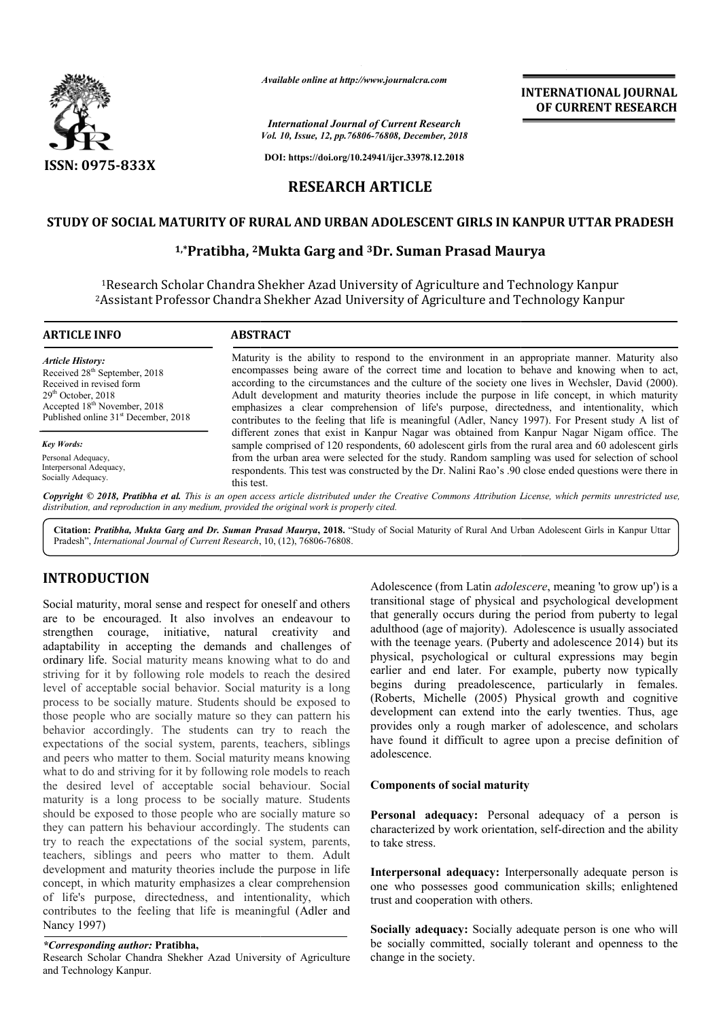

*Available online at http://www.journalcra.com*

*International Journal of Current Research Vol. 10, Issue, 12, pp.76806-76808, December, 2018*

**DOI: https://doi.org/10.24941/ijcr.33978.12.2018**

# **RESEARCH ARTICLE**

## **STUDY OF SOCIAL MATURITY OF RURAL AND URBAN ADOLESCENT GIRLS IN KANPUR UTTAR PRADESH**

### **1,\*Pratibha, 2Mukta Mukta Garg and 3Dr. Suman Prasad Maurya**

<sup>1</sup>Research Scholar Chandra Shekher Azad University of Agriculture and Technology Kanpur <sup>2</sup>Assistant Professor Chandra Shekher Azad University of Agriculture and Technology Kanpur

| <b>ARTICLE INFO</b>                                                                                                                                                                                                      | <b>ABSTRACT</b>                                                                                                                                                                                                                                                                                                                                                                                                                                                                                                                                                                                            |  |  |  |  |
|--------------------------------------------------------------------------------------------------------------------------------------------------------------------------------------------------------------------------|------------------------------------------------------------------------------------------------------------------------------------------------------------------------------------------------------------------------------------------------------------------------------------------------------------------------------------------------------------------------------------------------------------------------------------------------------------------------------------------------------------------------------------------------------------------------------------------------------------|--|--|--|--|
| <b>Article History:</b><br>Received 28 <sup>th</sup> September, 2018<br>Received in revised form<br>$29th$ October, 2018<br>Accepted 18 <sup>th</sup> November, 2018<br>Published online 31 <sup>st</sup> December, 2018 | Maturity is the ability to respond to the environment in an appropriate manner. Maturity also<br>encompasses being aware of the correct time and location to behave and knowing when to act,<br>according to the circumstances and the culture of the society one lives in Wechsler, David (2000).<br>Adult development and maturity theories include the purpose in life concept, in which maturity<br>emphasizes a clear comprehension of life's purpose, directedness, and intentionality, which<br>contributes to the feeling that life is meaningful (Adler, Nancy 1997). For Present study A list of |  |  |  |  |
| <b>Key Words:</b>                                                                                                                                                                                                        | different zones that exist in Kanpur Nagar was obtained from Kanpur Nagar Nigam office. The<br>sample comprised of 120 respondents, 60 adolescent girls from the rural area and 60 adolescent girls                                                                                                                                                                                                                                                                                                                                                                                                        |  |  |  |  |
| Personal Adequacy,<br>Interpersonal Adequacy,<br>Socially Adequacy.                                                                                                                                                      | from the urban area were selected for the study. Random sampling was used for selection of school<br>respondents. This test was constructed by the Dr. Nalini Rao's .90 close ended questions were there in<br>this test.                                                                                                                                                                                                                                                                                                                                                                                  |  |  |  |  |
|                                                                                                                                                                                                                          | Copyright © 2018, Pratibha et al. This is an open access article distributed under the Creative Commons Attribution License, which permits unrestricted use,<br>distribution, and reproduction in any medium, provided the original work is properly cited.                                                                                                                                                                                                                                                                                                                                                |  |  |  |  |

Citation: Pratibha, Mukta Garg and Dr. Suman Prasad Maurya, 2018. "Study of Social Maturity of Rural And Urban Adolescent Girls in Kanpur Uttar Pradesh", *International Journal of Current Research*, 10, (12), 76806-76808.

# **INTRODUCTION**

Social maturity, moral sense and respect for oneself and others are to be encouraged. It also involves an endeavour to strengthen courage, initiative, natural creativity and adaptability in accepting the demands and challenges of ordinary life. Social maturity means knowing what to do and striving for it by following role models to reach the desired level of acceptable social behavior. Social maturity is a long process to be socially mature. Students should be exposed to those people who are socially mature so they can pattern his behavior accordingly. The students can try to reach the expectations of the social system, parents, teachers, siblings and peers who matter to them. Social maturity means knowing what to do and striving for it by following role models to reach the desired level of acceptable social behaviour. Social maturity is a long process to be socially mature. Students should be exposed to those people who are socially mature so they can pattern his behaviour accordingly. The students can try to reach the expectations of the social system, parents, teachers, siblings and peers who matter to them. Adult development and maturity theories include the purpose in life concept, in which maturity emphasizes a clear comprehension of life's purpose, directedness, and intentionality, which contributes to the feeling that life is meaningful (Adler and Nancy 1997)

### *\*Corresponding author:* **Pratibha,**

Research Scholar Chandra Shekher Azad University of Agriculture and Technology Kanpur.

Adolescence (from Latin *adolescere* , meaning 'to grow up') is a transitional stage of physical and psychological development that generally occurs during the period from puberty to legal adulthood (age of majority). Adolescence is usually associated with the teenage years. (Puberty and adolescence 2014) but its physical, psychological or cultural expressions may begin earlier and end later. For example, puberty now typically begins during preadolescence, particularly in females. (Roberts, Michelle (2005) Physical growth and cognitive development can extend into the early twenties. Thus, age provides only a rough marker of adolescence, and scholars have found it difficult to agree upon a precise definition of adolescence.

**INTERNATIONAL JOURNAL OF CURRENT RESEARCH**

#### **Components of social maturity**

**Personal adequacy:** Personal adequacy of a person is characterized by work orientation, self-direction and the ability to take stress.

**Interpersonal adequacy:** Interpersonally adequate person is one who possesses good communication skills; enlightened trust and cooperation with others.

**Socially adequacy:** Socially adequate person is one who will be socially committed, socially tolerant and openness to the change in the society.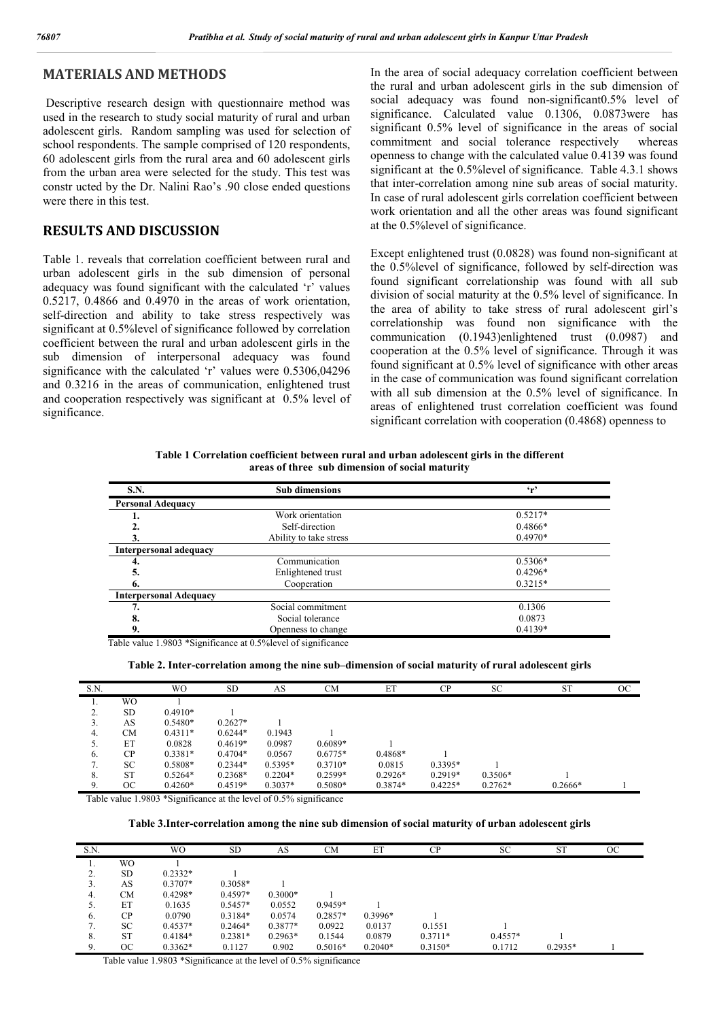## **MATERIALS AND METHODS**

Descriptive research design with questionnaire method was used in the research to study social maturity of rural and urban adolescent girls. Random sampling was used for selection of school respondents. The sample comprised of 120 respondents, 60 adolescent girls from the rural area and 60 adolescent girls from the urban area were selected for the study. This test was constr ucted by the Dr. Nalini Rao's .90 close ended questions were there in this test.

### **RESULTS AND DISCUSSION**

Table 1. reveals that correlation coefficient between rural and urban adolescent girls in the sub dimension of personal adequacy was found significant with the calculated 'r' values 0.5217, 0.4866 and 0.4970 in the areas of work orientation, self-direction and ability to take stress respectively was significant at 0.5%level of significance followed by correlation coefficient between the rural and urban adolescent girls in the sub dimension of interpersonal adequacy was found significance with the calculated 'r' values were 0.5306,04296 and 0.3216 in the areas of communication, enlightened trust and cooperation respectively was significant at 0.5% level of significance.

In the area of social adequacy correlation coefficient between the rural and urban adolescent girls in the sub dimension of social adequacy was found non-significant0.5% level of significance. Calculated value 0.1306, 0.0873were has significant 0.5% level of significance in the areas of social commitment and social tolerance respectively whereas openness to change with the calculated value 0.4139 was found significant at the 0.5%level of significance. Table 4.3.1 shows that inter-correlation among nine sub areas of social maturity. In case of rural adolescent girls correlation coefficient between work orientation and all the other areas was found significant at the 0.5%level of significance.

Except enlightened trust (0.0828) was found non-significant at the 0.5%level of significance, followed by self-direction was found significant correlationship was found with all sub division of social maturity at the 0.5% level of significance. In the area of ability to take stress of rural adolescent girl's correlationship was found non significance with the communication (0.1943)enlightened trust (0.0987) and cooperation at the 0.5% level of significance. Through it was found significant at 0.5% level of significance with other areas in the case of communication was found significant correlation with all sub dimension at the 0.5% level of significance. In areas of enlightened trust correlation coefficient was found significant correlation with cooperation (0.4868) openness to

**Table 1 Correlation coefficient between rural and urban adolescent girls in the different areas of three sub dimension of social maturity**

| <b>S.N.</b>                   | <b>Sub dimensions</b>  | $\mathbf{r}$ |  |  |
|-------------------------------|------------------------|--------------|--|--|
| <b>Personal Adequacy</b>      |                        |              |  |  |
|                               | Work orientation       | $0.5217*$    |  |  |
| 2.                            | Self-direction         | $0.4866*$    |  |  |
| 3.                            | Ability to take stress | $0.4970*$    |  |  |
| Interpersonal adequacy        |                        |              |  |  |
| 4.                            | Communication          | $0.5306*$    |  |  |
| 5.                            | Enlightened trust      | $0.4296*$    |  |  |
| 6.                            | Cooperation            | $0.3215*$    |  |  |
| <b>Interpersonal Adequacy</b> |                        |              |  |  |
| 7.                            | Social commitment      | 0.1306       |  |  |
| 8.                            | Social tolerance       | 0.0873       |  |  |
| 9.                            | Openness to change     | $0.4139*$    |  |  |

Table value 1.9803 \*Significance at 0.5%level of significance

#### **Table 2. Inter-correlation among the nine sub–dimension of social maturity of rural adolescent girls**

| S.N.       |           | <b>WO</b> | <b>SD</b> | AS        | CМ        | ET        | CP        | <b>SC</b> | <b>ST</b> | OC |
|------------|-----------|-----------|-----------|-----------|-----------|-----------|-----------|-----------|-----------|----|
|            | WO        |           |           |           |           |           |           |           |           |    |
|            | <b>SD</b> | $0.4910*$ |           |           |           |           |           |           |           |    |
| 3.         | AS        | $0.5480*$ | $0.2627*$ |           |           |           |           |           |           |    |
| 4.         | CМ        | $0.4311*$ | $0.6244*$ | 0.1943    |           |           |           |           |           |    |
| 5.         | ET        | 0.0828    | $0.4619*$ | 0.0987    | $0.6089*$ |           |           |           |           |    |
| 6.         | CP        | $0.3381*$ | $0.4704*$ | 0.0567    | $0.6775*$ | $0.4868*$ |           |           |           |    |
| $\sqrt{2}$ | <b>SC</b> | 0.5808*   | $0.2344*$ | $0.5395*$ | $0.3710*$ | 0.0815    | $0.3395*$ |           |           |    |
| 8.         | <b>ST</b> | $0.5264*$ | $0.2368*$ | $0.2204*$ | $0.2599*$ | $0.2926*$ | $0.2919*$ | $0.3506*$ |           |    |
| 9.         | <b>OC</b> | $0.4260*$ | $0.4519*$ | $0.3037*$ | $0.5080*$ | $0.3874*$ | $0.4225*$ | $0.2762*$ | $0.2666*$ |    |

Table value 1.9803 \*Significance at the level of 0.5% significance

**Table 3.Inter-correlation among the nine sub dimension of social maturity of urban adolescent girls**

| S.N. |           | <b>WO</b> | <b>SD</b> | AS        | CМ        | ET        | CP        | <b>SC</b> | <b>ST</b> | OC |
|------|-----------|-----------|-----------|-----------|-----------|-----------|-----------|-----------|-----------|----|
| .,   | WO.       |           |           |           |           |           |           |           |           |    |
| z.   | <b>SD</b> | $0.2332*$ |           |           |           |           |           |           |           |    |
| 3.   | AS        | $0.3707*$ | $0.3058*$ |           |           |           |           |           |           |    |
| 4.   | <b>CM</b> | $0.4298*$ | $0.4597*$ | $0.3000*$ |           |           |           |           |           |    |
| 5.   | ET        | 0.1635    | $0.5457*$ | 0.0552    | $0.9459*$ |           |           |           |           |    |
| 6.   | CP        | 0.0790    | $0.3184*$ | 0.0574    | $0.2857*$ | $0.3996*$ |           |           |           |    |
| 7.   | SC        | $0.4537*$ | $0.2464*$ | $0.3877*$ | 0.0922    | 0.0137    | 0.1551    |           |           |    |
| 8.   | <b>ST</b> | $0.4184*$ | $0.2381*$ | $0.2963*$ | 0.1544    | 0.0879    | $0.3711*$ | $0.4557*$ |           |    |
| 9.   | OC        | $0.3362*$ | 0.1127    | 0.902     | $0.5016*$ | $0.2040*$ | $0.3150*$ | 0.1712    | $0.2935*$ |    |

Table value 1.9803 \*Significance at the level of 0.5% significance